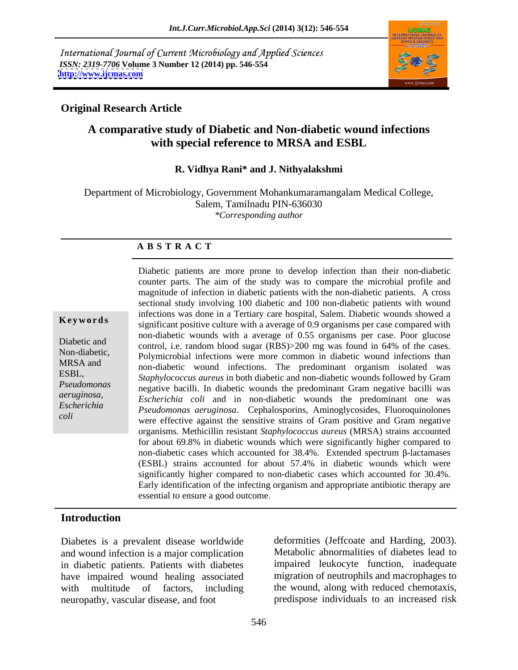International Journal of Current Microbiology and Applied Sciences *ISSN: 2319-7706* **Volume 3 Number 12 (2014) pp. 546-554 <http://www.ijcmas.com>**



## **Original Research Article**

# **A comparative study of Diabetic and Non-diabetic wound infections with special reference to MRSA and ESBL**

## **R. Vidhya Rani\* and J. Nithyalakshmi**

Department of Microbiology, Government Mohankumaramangalam Medical College, Salem, Tamilnadu PIN-636030 *\*Corresponding author* 

### **A B S T R A C T**

**Keywords**<br>
significant positive culture with a average of 0.9 organisms per case compared with Diabetic and and control, i.e. random blood sugar (RBS)>200 mg was found in 64% of the cases. Non-diabetic,<br>Polymicrobial infections were more common in diabetic wound infections than MRSA and non-diabetic wound infections. The predominant organism isolated was ESBL, *Staphylococcus aureus* in both diabetic and non-diabetic wounds followed by Gram *Pseudomonas* inequive bacilli. In diabetic wounds the predominant Gram negative bacilli was *aeruginosa, Escherichia coli* and in non-diabetic wounds the predominant one was *Escherichia Pseudomonas aeruginosa*. Cephalosporins, Aminoglycosides, Fluoroquinolones *coli*<br>
were effective against the sensitive strains of Gram positive and Gram negative Diabetic patients are more prone to develop infection than their non-diabetic counter parts. The aim of the study was to compare the microbial profile and magnitude of infection in diabetic patients with the non-diabetic patients. A cross sectional study involving 100 diabetic and 100 non-diabetic patients with wound infections was done in a Tertiary care hospital, Salem. Diabetic wounds showed a non-diabetic wounds with a average of 0.55 organisms per case. Poor glucose organisms. Methicillin resistant *Staphylococcus aureus* (MRSA) strains accounted for about 69.8% in diabetic wounds which were significantly higher compared to non-diabetic cases which accounted for  $38.4\%$ . Extended spectrum  $\beta$ -lactamases (ESBL) strains accounted for about 57.4% in diabetic wounds which were significantly higher compared to non-diabetic cases which accounted for 30.4%. Early identification of the infecting organism and appropriate antibiotic therapy are essential to ensure a good outcome.

### **Introduction**

Diabetes is a prevalent disease worldwide and wound infection is a major complication in diabetic patients. Patients with diabetes have impaired wound healing associated with multitude of factors, including the wound, along with reduced chemotaxis, neuropathy, vascular disease, and foot predispose individuals to an increased risk

deformities (Jeffcoate and Harding, 2003). Metabolic abnormalities of diabetes lead to impaired leukocyte function, inadequate migration of neutrophils and macrophages to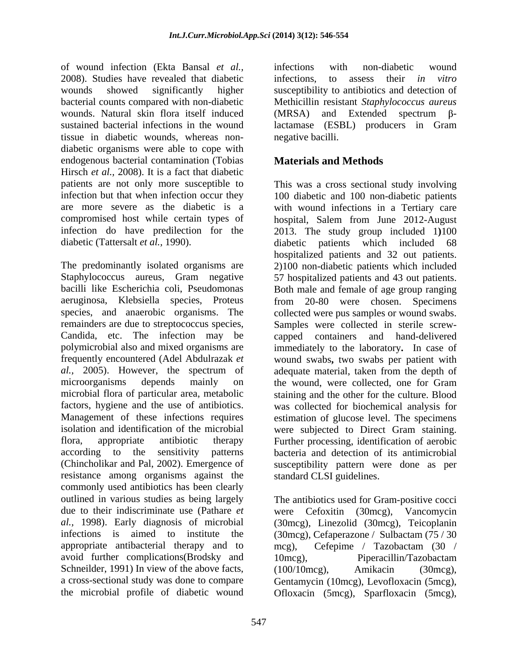of wound infection (Ekta Bansal *et al.,* 2008). Studies have revealed that diabetic infections, to assess their *in vitro* wounds showed significantly higher susceptibility to antibiotics and detection of bacterial counts compared with non-diabetic Methicillin resistant *Staphylococcus aureus* wounds. Natural skin flora itself induced (MRSA) and Extended spectrum  $\beta$ sustained bacterial infections in the wound lactamase (ESBL) producers in Gram tissue in diabetic wounds, whereas non diabetic organisms were able to cope with endogenous bacterial contamination (Tobias Hirsch *et al.,* 2008). It is a fact that diabetic diabetic (Tattersalt *et al.*, 1990). diabetic patients which included 68

The predominantly isolated organisms are 2)100 non-diabetic patients which included Staphylococcus aureus, Gram negative 57 hospitalized patients and 43 out patients. bacilli like Escherichia coli, Pseudomonas Both male and female of age group ranging aeruginosa, Klebsiella species, Proteus from 20-80 were chosen. Specimens species, and anaerobic organisms. The collected were pus samples or wound swabs. remainders are due to streptococcus species, Candida, etc. The infection may be capped containers and hand-delivered polymicrobial also and mixed organisms are immediately to the laboratory**.** In case of frequently encountered (Adel Abdulrazak *et*  wound swabs**,** two swabs per patient with *al.,* 2005). However, the spectrum of adequate material, taken from the depth of microorganisms depends mainly on the wound, were collected, one for Gram microbial flora of particular area, metabolic factors, hygiene and the use of antibiotics. was collected for biochemical analysis for Management of these infections requires estimation of glucose level. The specimens isolation and identification of the microbial were subjected to Direct Gram staining. flora, appropriate antibiotic therapy Further processing, identification of aerobic according to the sensitivity patterns bacteria and detection of its antimicrobial (Chincholikar and Pal, 2002). Emergence of susceptibility pattern were done as per resistance among organisms against the commonly used antibiotics has been clearly outlined in various studies as being largely The antibiotics used for Gram-positive cocci due to their indiscriminate use (Pathare *et* were Cefoxitin (30mcg), Vancomycin *al.,* 1998). Early diagnosis of microbial (30mcg), Linezolid (30mcg), Teicoplanin infections is aimed to institute the (30mcg), Cefaperazone / Sulbactam (75 / 30 appropriate antibacterial therapy and to  $mcg$ ), Cefepime / Tazobactam (30 / avoid further complications(Brodsky and 10mcg), Piperacillin/Tazobactam Schneilder, 1991) In view of the above facts, (100/10mcg), Amikacin (30mcg), a cross-sectional study was done to compare Gentamycin (10mcg), Levofloxacin (5mcg),

infections with non-diabetic wound infections, to assess their *in vitro*  $(MRSA)$  and Extended spectrum  $\beta$ negative bacilli.

# **Materials and Methods**

patients are not only more susceptible to This was a cross sectional study involving infection but that when infection occur they 100 diabetic and 100 non-diabetic patients are more severe as the diabetic is a with wound infections in a Tertiary care compromised host while certain types of hospital, Salem from June 2012-August infection do have predilection for the 2013. The study group included 1**)**100 diabetic patients which included 68 hospitalized patients and 32 out patients. Samples were collected in sterile screw staining and the other for the culture. Blood standard CLSI guidelines.

the microbial profile of diabetic wound Ofloxacin (5mcg), Sparfloxacin (5mcg), were Cefoxitin (30mcg), Vancomycin mcg), Cefepime / Tazobactam (30 / 10mcg), Piperacillin/Tazobactam (100/10mcg), Amikacin (30mcg),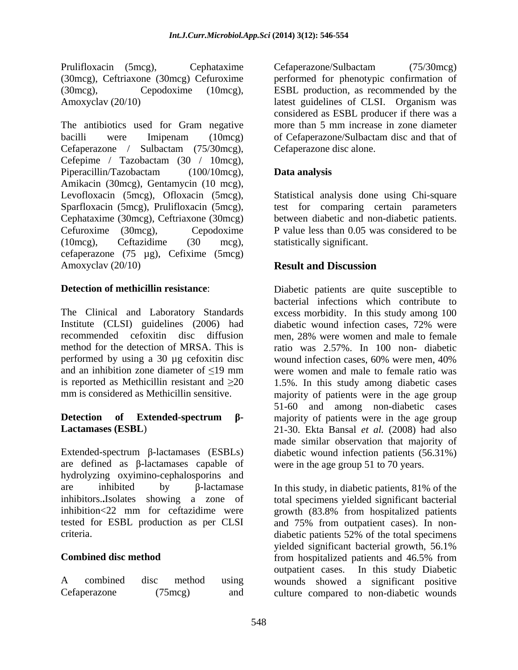Prulifloxacin (5mcg), Cephataxime Cefaperazone/Sulbactam (75/30mcg) (30mcg), Ceftriaxone (30mcg) Cefuroxime performed for phenotypic confirmation of (30mcg), Cepodoxime (10mcg), ESBL production, as recommended by the

The antibiotics used for Gram negative bacilli were Imipenam (10mcg) of Cefaperazone/Sulbactam disc and that of Cefaperazone / Sulbactam (75/30mcg), Cefepime / Tazobactam (30 / 10mcg), Piperacillin/Tazobactam (100/10mcg), **Data analysis** Amikacin (30mcg), Gentamycin (10 mcg), Levofloxacin (5mcg), Ofloxacin (5mcg), Statistical analysis done using Chi-square Sparfloxacin (5mcg), Prulifloxacin (5mcg), Cephataxime (30mcg), Ceftriaxone (30mcg) Cefuroxime (30mcg), Cepodoxime P value less than 0.05 was considered to be (10mcg), Ceftazidime (30 mcg), cefaperazone (75 µg), Cefixime (5mcg) Amoxyclav (20/10) **Result and Discussion** 

The Clinical and Laboratory Standards excess morbidity. In this study among 100 Institute (CLSI) guidelines (2006) had diabetic wound infection cases, 72% were recommended cefoxitin disc diffusion men, 28% were women and male to female method for the detection of MRSA. This is ratio was 2.57%. In 100 non- diabetic performed by using a 30 µg cefoxitin disc wound infection cases, 60% were men, 40% and an inhibition zone diameter of  $\leq$ 19 mm is reported as Methicillin resistant and  $\geq 20$  1.5%. In this study among diabetic cases

Extended-spectrum  $\beta$ -lactamases (ESBLs) diabetic wound infection patients (56.31%) are defined as  $\beta$ -lactamases capable of hydrolyzing oxyimino-cephalosporins and

| A | combined     | disc | method            | using |
|---|--------------|------|-------------------|-------|
|   | Cefaperazone |      | $(75 \text{mcg})$ | and   |

Amoxyclav (20/10) latest guidelines of CLSI. Organism was Cefaperazone/Sulbactam (75/30mcg) considered as ESBL producer if there was a more than 5 mm increase in zone diameter Cefaperazone disc alone.

## **Data analysis**

test for comparing certain parameters between diabetic and non-diabetic patients. statistically significant.

## **Result and Discussion**

**Detection of methicillin resistance:** Diabetic patients are quite susceptible to mm is considered as Methicillin sensitive. majority of patients were in the age group **Detection** of **Extended-spectrum** β- majority of patients were in the age group **Lactamases (ESBL**) 21-30. Ekta Bansal *et al.* (2008) had also bacterial infections which contribute to diabetic wound infection cases, 72% were wound infection cases, 60% were men, 40% were women and male to female ratio was 51-60 and among non-diabetic cases made similar observation that majority of were in the age group 51 to 70 years.

are inhibited by  $\beta$ -lactamase In this study, in diabetic patients, 81% of the inhibitors.**.**Isolates showing a zone of total specimens yielded significant bacterial inhibition<22 mm for ceftazidime were growth (83.8% from hospitalized patients tested for ESBL production as per CLSI and 75% from outpatient cases). In non criteria. diabetic patients 52% of the total specimens **Combined disc method** from hospitalized patients and 46.5% from A combined disc method using wounds showed a significant positive Cefaperazone (75mcg) and culture compared to non-diabetic woundsyielded significant bacterial growth, 56.1% outpatient cases. In this study Diabetic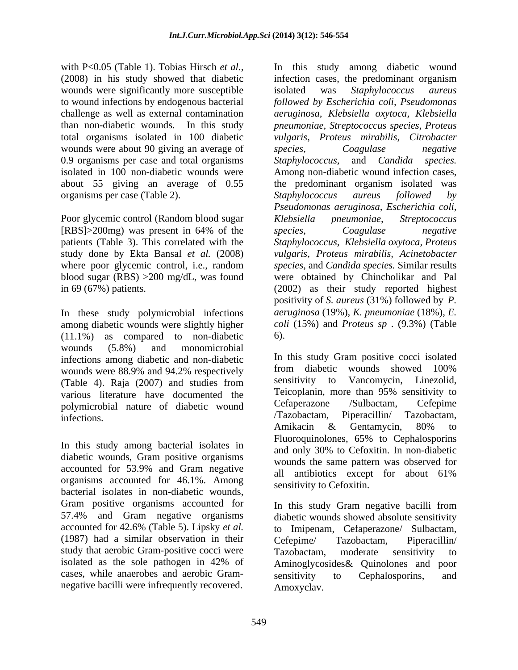with P<0.05 (Table 1). Tobias Hirsch *et al.*, In this study among diabetic wound wounds were significantly more susceptible isolated was *Staphylococcus aureus* wounds were about 90 giving an average of *species*, *Coagulase negative* 0.9 organisms per case and total organisms Staphylococcus, and Candida species. organisms per case (Table 2). Staphylococcus aureus followed by

Poor glycemic control (Random blood sugar Klebsiella pneumoniae, Streptococcus [RBS]>200mg) was present in 64% of the *species*, *Coagulase negative* 

In these study polymicrobial infections among diabetic wounds were slightly higher (11.1%) as compared to non-diabetic wounds (5.8%) and monomicrobial infections among diabetic and non-diabetic limit is study Gram positive cocci isolated<br>wounds were  $\frac{88.90}{2}$  and  $\frac{94.20}{2}$  respectively from diabetic wounds showed 100% wounds were 88.9% and 94.2% respectively<br>
(Table 4) Baia (2007) and studies from sensitivity to Vancomycin, Linezolid, (Table 4). Raja (2007) and studies from various literature have documented the Telcoplanin, more than 95% sensitivity to<br>notworchial nature of diabetic wound Cefaperazone /Sulbactam, Cefepime polymicrobial nature of diabetic wound<br>infections (Tazobactam, Piperacillin) Tazobactam,

diabetic wounds, Gram positive organisms accounted for 53.9% and Gram negative all antibiotics except for about 61% organisms accounted for 46.1%. Among bacterial isolates in non-diabetic wounds, (1987) had a similar observation in their study that aerobic Gram-positive cocci were Tazobactam, moderate sensitivity to cases, while anaerobes and aerobic Gram-<br>sensitivity to Cephalosporins, and negative bacilli were infrequently recovered.

(2008) in his study showed that diabetic infection cases, the predominant organism to wound infections by endogenous bacterial *followed by Escherichia coli, Pseudomonas* challenge as well as external contamination *aeruginosa, Klebsiella oxytoca, Klebsiella* than non-diabetic wounds. In this study *pneumoniae, Streptococcusspecies, Proteus* total organisms isolated in 100 diabetic *vulgaris, Proteus mirabilis, Citrobacter* isolated in 100 non-diabetic wounds were Among non-diabetic wound infection cases, about 55 giving an average of 0.55 the predominant organism isolated was patients (Table 3). This correlated with the *Staphylococcus, Klebsiella oxytoca, Proteus*  study done by Ekta Bansal *et al.* (2008) *vulgaris, Proteus mirabilis, Acinetobacter* where poor glycemic control, i.e., random *species,* and *Candida species.* Similar results blood sugar (RBS) >200 mg/dL, was found were obtained by Chincholikar and Pal in 69 (67%) patients. (2002) as their study reported highest isolated was *Staphylococcus aureus species, Coagulase negative Staphylococcus,* and *Candida species. Staphylococcus aureus followed by Pseudomonas aeruginosa, Escherichia coli, Klebsiella pneumoniae, Streptococcus species, Coagulase negative* positivity of *S. aureus* (31%) followed by *P. aeruginosa* (19%), *K. pneumoniae* (18%), *E. coli* (15%) and *Proteus sp* . (9.3%) (Table 6).

infections. The contract of the contract of the contract of the contract of the contract of the contract of the contract of the contract of the contract of the contract of the contract of the contract of the contract of th In this study among bacterial isolates in<br>
Fluoroquinolones, 65% to Cephalosporins<br>
In non-displacion<br>
In non-displacion In this study Gram positive cocci isolated from diabetic wounds showed 100% sensitivity to Vancomycin, Linezolid, Teicoplanin, more than 95% sensitivity to Cefaperazone /Sulbactam, Cefepime /Tazobactam, Piperacillin/ Tazobactam, Amikacin & Gentamycin, 80% to Fluoroquinolones, 65% to Cephalosporins and only 30% to Cefoxitin. In non-diabetic wounds the same pattern was observed for all antibiotics except for about 61% sensitivity to Cefoxitin.

Gram positive organisms accounted for In this study Gram negative bacilli from 57.4% and Gram negative organisms diabetic wounds showed absolute sensitivity accounted for 42.6% (Table 5). Lipsky *et al.* to Imipenam, Cefaperazone/ Sulbactam, isolated as the sole pathogen in 42% of Aminoglycosides& Quinolones and poor Cefepime/ Tazobactam, Piperacillin/ Tazobactam, moderate sensitivity to sensitivity to Cephalosporins, and Amoxyclav.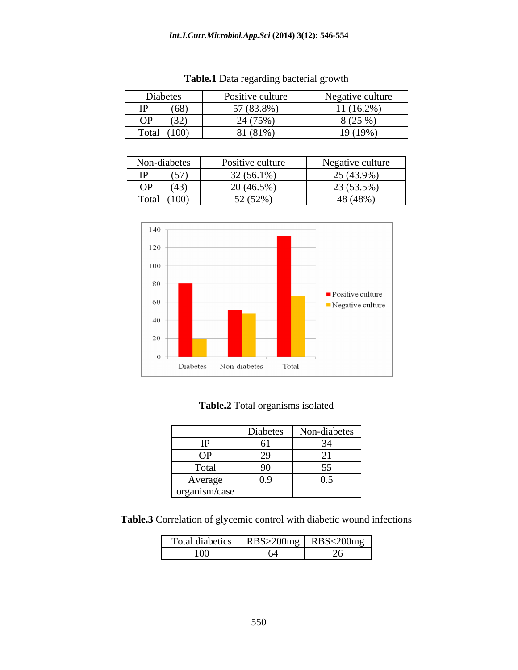| Diabetes          | Positive culture   | $\mathbf{r}$<br>Negative culture |
|-------------------|--------------------|----------------------------------|
| (68)<br>          | $(83.8\%)$<br>$ -$ | $1(16.2\%)$                      |
| <b>OP</b><br>(32) | $(75\%$ ,<br>-     | (250)<br>$\Omega$ (2.)           |
| (100)<br>Total    | 0.1(81%)           | 10(100)<br><b>&gt; (1ソツ)</b>     |

| <b>Table.1</b> Data regarding bacterial growth |  |
|------------------------------------------------|--|
|                                                |  |

| Non-diabetes |       | Positive culture        | Negative culture |
|--------------|-------|-------------------------|------------------|
| IP           | (57)  | $32(56.1\%)$            | 25 (43.9%)       |
| <b>OP</b>    | (43)  | $20(46.5\%)$            | 23 (53.5%)       |
| Total        | (100) | 52(520)<br>$J = 1J = 7$ | 48 (48%)         |



# **Table.2** Total organisms isolated

|               | Diabetes                             | Non-diabetes         |
|---------------|--------------------------------------|----------------------|
| $\rm IP$      | 0 I                                  |                      |
| <b>OP</b>     | $\Omega$<br>$\overline{\phantom{a}}$ | $\sim$ 1<br>$\sim$ 1 |
| Total         | 90                                   | $\sim$ $\sim$        |
| Average       | 0.9                                  | 0.5                  |
| organism/case |                                      |                      |

**Table.3** Correlation of glycemic control with diabetic wound infections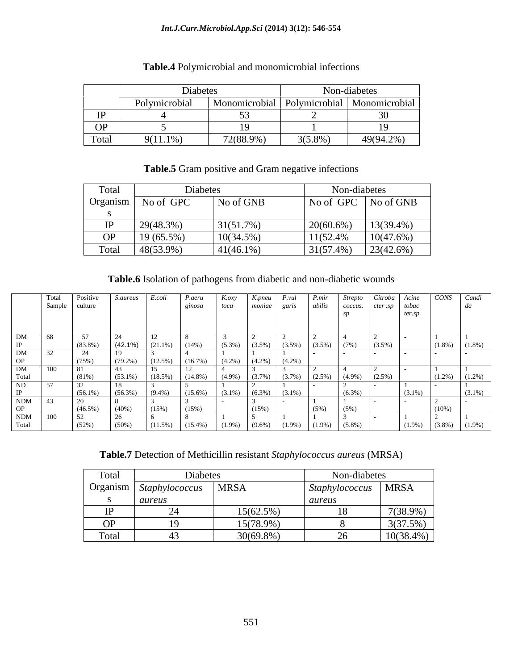#### *Int.J.Curr.Microbiol.App.Sci* **(2014) 3(12): 546-554**

|           | Diabetes           |               |            | $\sim$ $\sim$ $\sim$ $\sim$<br>Non-diabetes |
|-----------|--------------------|---------------|------------|---------------------------------------------|
|           | .<br>Polymicrobial | Monomicrobial |            | Polymicrobial   Monomicrobial               |
| <b>TD</b> |                    |               |            |                                             |
| <b>OP</b> |                    |               |            |                                             |
| Total     | $9(11.1\%)$        | 72(88.9%)     | $3(5.8\%)$ | 49(94.2%)                                   |

# **Table.4** Polymicrobial and monomicrobial infections

## Table.5 Gram positive and Gram negative infections

| Total | Diabetes           |              | Non-diabetes                 |
|-------|--------------------|--------------|------------------------------|
|       | Organism No of GPC | No of GNB    | No of GPC No of GNB          |
|       |                    |              |                              |
|       | 29(48.3%)          | 31(51.7%)    | $20(60.6\%)$<br>$13(39.4\%)$ |
|       | OP 19 $(65.5\%)$   | $10(34.5\%)$ | 11(52.4%<br>10(47.6%)        |
|       | Total 48(53.9%)    | $41(46.1\%)$ | $31(57.4\%)$<br>23(42.6%)    |

### **Table.6** Isolation of pathogens from diabetic and non-diabetic wounds

|              |                | Positive   | S.aureus   | E.coli              | $P. a$ eru                                          | $K.$ oxy                                          | K.pneu | P.vul               | P.mir |           |                       | Acine               | CONS Candi             |
|--------------|----------------|------------|------------|---------------------|-----------------------------------------------------|---------------------------------------------------|--------|---------------------|-------|-----------|-----------------------|---------------------|------------------------|
|              | Sample culture |            |            |                     | ginosa                                              | <i>toca</i>                                       |        | moniae garis abilis |       |           | coccus. cter sp tobac |                     |                        |
|              |                |            |            |                     |                                                     |                                                   |        |                     |       |           |                       | ter sn              |                        |
|              |                |            |            |                     |                                                     |                                                   |        |                     |       |           |                       |                     |                        |
|              |                |            |            |                     |                                                     |                                                   |        |                     |       |           |                       |                     |                        |
| DM           |                | 57         |            |                     |                                                     |                                                   |        |                     |       |           |                       |                     |                        |
|              |                | $(83.8\%)$ | (42.1%)    | $(21.1\%)$ $(14\%)$ |                                                     | $(5.3\%)$ $(3.5\%)$ $(3.5\%)$ $(3.5\%)$ $(3.5\%)$ |        |                     |       | 7%)       | $(3.5\%)$             |                     | $(1.8\%)$<br>$(1.8\%)$ |
| DM           |                |            |            |                     |                                                     |                                                   |        |                     |       |           |                       |                     |                        |
| OP           |                | (75%)      | $(79.2\%)$ |                     | $(12.5\%)$ $(16.7\%)$ $(4.2\%)$ $(4.2\%)$ $(4.2\%)$ |                                                   |        |                     |       |           |                       |                     |                        |
|              | 100            | 81         |            |                     |                                                     |                                                   |        |                     |       |           |                       |                     |                        |
| DM<br>Total  |                | $(81\%)$   | $(53.1\%)$ |                     | $(14.8\%)$                                          | $(4.9\%)$ $(3.7\%)$ $(3.7\%)$ $(2.5\%)$           |        |                     |       |           | $(4.9\%)$ $(2.5\%)$   |                     | $(1.2\%)$<br>$(1.2\%)$ |
| ND           |                | 32         |            |                     |                                                     |                                                   |        |                     |       |           |                       |                     |                        |
|              |                | $(56.1\%)$ |            |                     |                                                     |                                                   |        |                     |       |           |                       | $(3.1\%)$           |                        |
|              |                |            | $(56.3\%)$ | $(9.4\%)$           | $(15.6\%)$                                          | $(3.1\%)$ $(6.3\%)$ $(3.1\%)$                     |        |                     |       | $(6.3\%)$ |                       |                     | $(3.1\%)$              |
| NDM          |                |            |            |                     |                                                     |                                                   |        |                     |       |           |                       |                     |                        |
| OP           |                | $(46.5\%)$ | $(40\%)$   |                     | (15%)                                               |                                                   | (15%)  |                     | (5%)  | $(5\%)$   |                       |                     | $(10\%)$               |
| NDM<br>Total | 100            | 52         |            |                     |                                                     |                                                   |        |                     |       |           |                       |                     |                        |
|              |                | (52%)      | $(50\%)$   | $(11.5\%)$          | $(15.4\%)$ $(1.9\%)$ $(9.6\%)$ $(1.9\%)$ $(1.9\%)$  |                                                   |        |                     |       | $(5.8\%)$ |                       | $(1.9\%)$ $(3.8\%)$ | $(1.9\%)$              |

**Table.7** Detection of Methicillin resistant *Staphylococcus aureus* (MRSA)

| Total         | Diabete                                                |              | Non-diabetes                           |              |
|---------------|--------------------------------------------------------|--------------|----------------------------------------|--------------|
|               | Organism Staphylococcus   MRSA<br>$\sim$ $\sim$ $\sim$ |              | Staphylococcus   MRSA<br>$\sim$ $\sim$ |              |
|               | aureus                                                 |              | aureus                                 |              |
|               |                                                        | $15(62.5\%)$ |                                        | $7(38.9\%)$  |
| $\sim$ $\sim$ |                                                        | 15(78.9%)    |                                        | 3(37.5%)     |
| Total         |                                                        | $30(69.8\%)$ | $\sim$ $\sim$                          | $10(38.4\%)$ |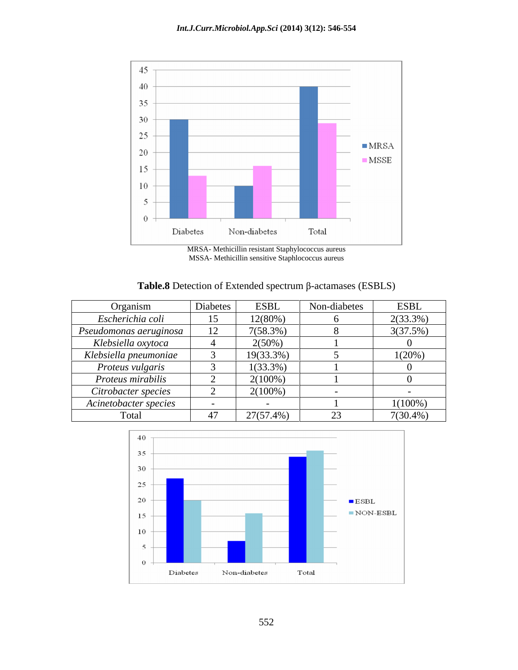

MRSA- Methicillin resistant Staphylococcus aureus MSSA- Methicillin sensitive Staphlococcus aureus

| <b>Table.8</b> Detection of Extended spectrum f | телстанта | (ESBLS) |  |  |  |
|-------------------------------------------------|-----------|---------|--|--|--|
|                                                 |           |         |  |  |  |

| Organism               | Diabetes      | <b>ESBL</b>  | Non-diabetes | <b>ESBL</b> |
|------------------------|---------------|--------------|--------------|-------------|
| Escherichia coli       | 15            | 12(80%       |              | 2(33.3%)    |
| Pseudomonas aeruginosa | 12<br>$\perp$ | 7(58.3%      |              | 3(37.5%)    |
| Klebsiella oxytoca     |               | $2(50\%)$    |              |             |
| Klebsiella pneumoniae  |               | $19(33.3\%)$ |              | 1(20%)      |
| Proteus vulgaris       |               | 1(33.3%)     |              |             |
| Proteus mirabilis      |               | 2(100%)      |              |             |
| Citrobacter species    |               | 2(100%)      |              |             |
| Acinetobacter species  |               |              |              | $1(100\%)$  |
| Total                  | 47            | 27(57.4%)    | $\sim$       | $7(30.4\%)$ |

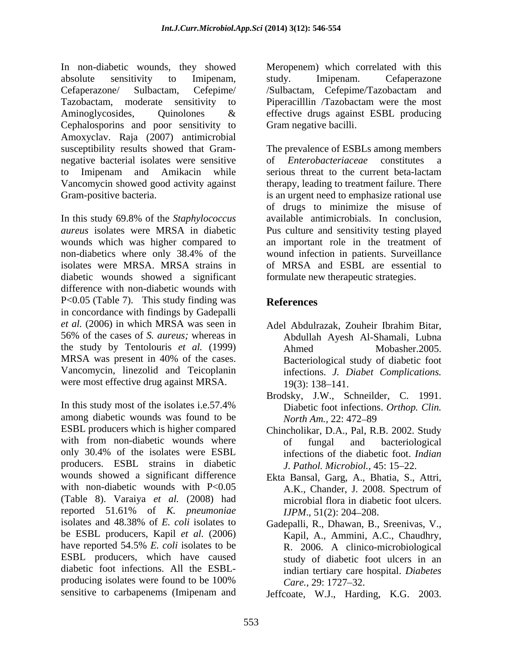In non-diabetic wounds, they showed Meropenem) which correlated with this absolute sensitivity to Imipenam, Cefaperazone/ Sulbactam, Cefepime/ Tazobactam, moderate sensitivity to Piperacilllin /Tazobactam were the most Aminoglycosides, Quinolones & effective drugs against ESBL producing Cephalosporins and poor sensitivity to Amoxyclav. Raja (2007) antimicrobial susceptibility results showed that Gram- The prevalence of ESBLs among members negative bacterial isolates were sensitive of *Enterobacteriaceae* constitutes a to Imipenam and Amikacin while serious threat to the current beta-lactam Vancomycin showed good activity against therapy, leading to treatment failure. There Gram-positive bacteria. is an urgent need to emphasize rational use

In this study 69.8% of the *Staphylococcus* diabetic wounds showed a significant difference with non-diabetic wounds with P<0.05 (Table 7). This study finding was References in concordance with findings by Gadepalli *et al.* (2006) in which MRSA was seen in 56% of the cases of *S. aureus;* whereas in the study by Tentolouris *et al.* (1999) MRSA was present in 40% of the cases. Bacteriological study of diabetic foot Vancomycin, linezolid and Teicoplanin were most effective drug against MRSA.  $19(3)$ : 138–141.

In this study most of the isolates i.e.57.4% Diabetic foot infections. Orthop. Clin. among diabetic wounds was found to be *North Am.*, 22: 472–89 ESBL producers which is higher compared with from non-diabetic wounds where of fungal and bacteriological only 30.4% of the isolates were ESBL infections of the diabetic foot. Indian producers. ESBL strains in diabetic *J. Pathol. Microbiol.*, 45: 15–22. wounds showed a significant difference Ekta Bansal, Garg, A., Bhatia, S., Attri, with non-diabetic wounds with P<0.05 A.K., Chander, J. 2008. Spectrum of (Table 8). Varaiya *et al.* (2008) had reported 51.61% of *K. pneumoniae* isolates and 48.38% of *E. coli* isolates to Gadepalli, R., Dhawan, B., Sreenivas, V., be ESBL producers, Kapil *et al.* (2006) Kapil, A., Ammini, A.C., Chaudhry, be ESBL producers, Kapil *et al.* (2006) have reported 54.5% *E. coli* isolates to be  $R_{1,2006}$ . A clinico-microbiological ESBL producers, which have caused study of diabetic foot ulcers in an diabetic foot infections.All the ESBL producing isolates were found to be 100%  $Care. 29: 1727-32.$ 

study. Imipenam. Cefaperazone /Sulbactam, Cefepime/Tazobactam and effective drugs against ESBL producing Gram negative bacilli.

*aureus* isolates were MRSA in diabetic Pus culture and sensitivity testing played wounds which was higher compared to an important role in the treatment of non-diabetics where only 38.4% of the isolates were MRSA. MRSA strains in of MRSA and ESBL are essential to of *Enterobacteriaceae* constitutes a of drugs to minimize the misuse of available antimicrobials. In conclusion, wound infection in patients. Surveillance formulate new therapeutic strategies.

# **References**

- Adel Abdulrazak, Zouheir Ibrahim Bitar, Abdullah Ayesh Al-Shamali, Lubna Ahmed Mobasher.2005. Bacteriological study of diabetic foot infections. *J. Diabet Complications.*  19(3): 138–141.
- Brodsky, J.W., Schneilder, C. 1991. Diabetic foot infections. *Orthop. Clin. North Am., 22: 472–89*
- Chincholikar, D.A., Pal, R.B. 2002. Study of fungal and bacteriological infections of the diabetic foot. *Indian*
- *J. Pathol. Microbiol.,* 45: 15–22.<br>Ekta Bansal, Garg, A., Bhatia, S., Attri, A.K., Chander, J. 2008. Spectrum of microbial flora in diabetic foot ulcers. *IJPM*., 51(2): 204–208.
- R. 2006. A clinico-microbiological indian tertiary care hospital. *Diabetes Care.,* 29: 1727–32.

sensitive to carbapenems (Imipenam and Jeffcoate, W.J., Harding, K.G. 2003.